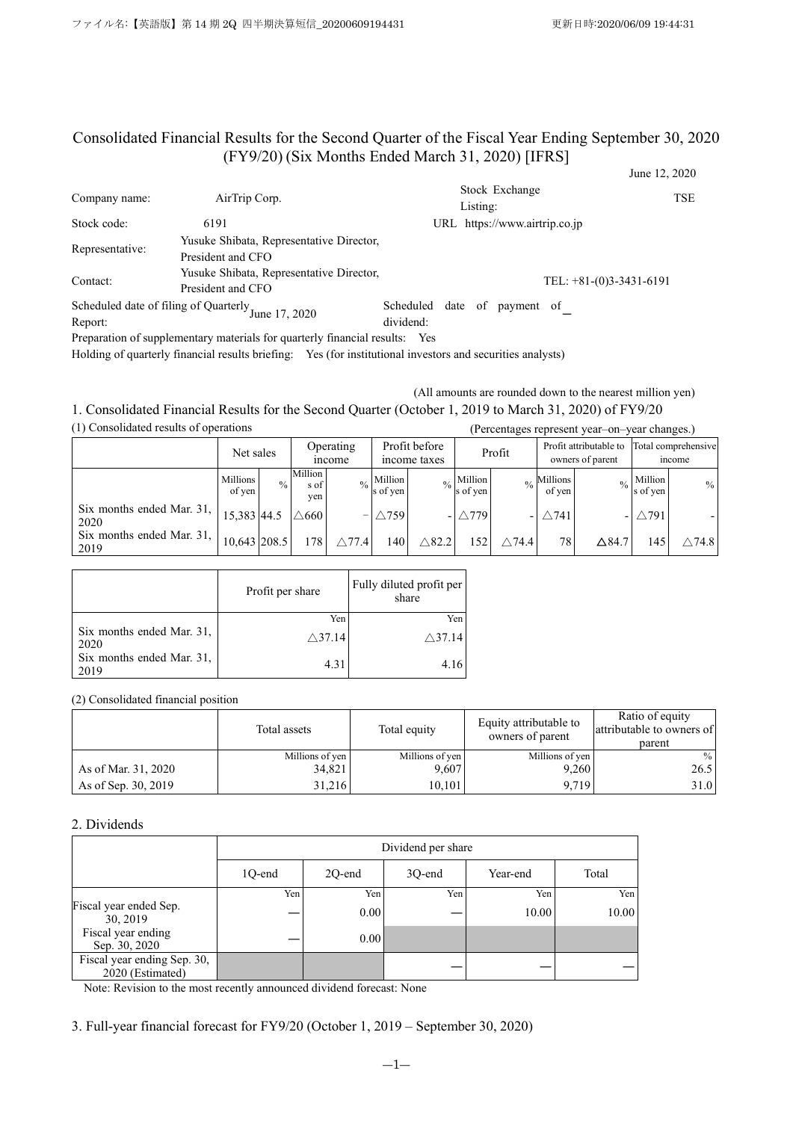# Consolidated Financial Results for the Second Quarter of the Fiscal Year Ending September 30, 2020 (FY9/20) (Six Months Ended March 31, 2020) [IFRS]

|                 |                                                               |                                              | June 12, 2020             |
|-----------------|---------------------------------------------------------------|----------------------------------------------|---------------------------|
| Company name:   | AirTrip Corp.                                                 | Stock Exchange<br>Listing:                   | TSE                       |
| Stock code:     | 6191                                                          | URL https://www.airtrip.co.jp                |                           |
| Representative: | Yusuke Shibata, Representative Director,<br>President and CFO |                                              |                           |
| Contact:        | Yusuke Shibata, Representative Director,<br>President and CFO |                                              | TEL: $+81-(0)3-3431-6191$ |
| Report:         | Scheduled date of filing of Quarterly June 17, 2020           | date of payment of<br>Scheduled<br>dividend: |                           |

Preparation of supplementary materials for quarterly financial results: Yes

Holding of quarterly financial results briefing: Yes (for institutional investors and securities analysts)

(All amounts are rounded down to the nearest million yen)

## 1. Consolidated Financial Results for the Second Quarter (October 1, 2019 to March 31, 2020) of FY9/20 (1) Consolidated results of operations (Percentages represent year–on–year changes.)

|                                   |                    |      |                               |                    |                     |                               |                             | $\mu$ electric ges represent year on year enanges. |                                  |                                            |                     |                                      |
|-----------------------------------|--------------------|------|-------------------------------|--------------------|---------------------|-------------------------------|-----------------------------|----------------------------------------------------|----------------------------------|--------------------------------------------|---------------------|--------------------------------------|
|                                   | Net sales          |      |                               | Operating<br>mcome |                     | Profit before<br>income taxes |                             | Profit                                             |                                  | Profit attributable to<br>owners of parent |                     | Total comprehensive<br><i>n</i> come |
|                                   | Millions<br>of yen | $\%$ | <b>Million</b><br>s of<br>yen |                    | Million<br>s of yen |                               | $_{\%}$ Million<br>s of yen |                                                    | $\frac{0}{6}$ Millions<br>of yen |                                            | Million<br>s of yen | $\frac{0}{0}$                        |
| Six months ended Mar. 31,<br>2020 | 15,383 44.5        |      | $\wedge$ 660                  |                    | $\wedge$ 759        | $\overline{\phantom{0}}$      | $\wedge$ 779                |                                                    | $\wedge$ 741                     |                                            | $\wedge$ 791        |                                      |
| Six months ended Mar. 31,<br>2019 | 10,643 208.5       |      | 178                           | $\wedge$ 77.4      | !40                 | $\wedge$ 82.2                 | 152                         | $\wedge$ 74.4                                      | 78                               | $\Delta$ 84.7                              | 145.                | $\wedge$ 74.8                        |

|                                   | Profit per share  | Fully diluted profit per<br>share |
|-----------------------------------|-------------------|-----------------------------------|
|                                   | Yen               | Yen                               |
| Six months ended Mar. 31,<br>2020 | $\triangle$ 37.14 | $\triangle$ 37.14                 |
| Six months ended Mar. 31,<br>2019 | 4.31              |                                   |

(2) Consolidated financial position

|                     | Total assets    | Total equity    | Equity attributable to<br>owners of parent | Ratio of equity<br>attributable to owners of<br>parent |
|---------------------|-----------------|-----------------|--------------------------------------------|--------------------------------------------------------|
|                     | Millions of yen | Millions of yen | Millions of yen                            | $\%$                                                   |
| As of Mar. 31, 2020 | 34,821          | 9,607           | 9,260                                      | 26.5                                                   |
| As of Sep. 30, 2019 | 31.216          | 10.101          | 9.719                                      | 31.0                                                   |

### 2. Dividends

|                                                 |        | Dividend per share                    |        |              |              |  |  |  |
|-------------------------------------------------|--------|---------------------------------------|--------|--------------|--------------|--|--|--|
|                                                 | 10-end | 2Q-end                                | 3Q-end | Year-end     | Total        |  |  |  |
| Fiscal year ended Sep.<br>30, 2019              | Yen    | Yen <sub>1</sub><br>0.00 <sub>l</sub> | Yen    | Yen<br>10.00 | Yen<br>10.00 |  |  |  |
| Fiscal year ending<br>Sep. 30, 2020             |        | $0.00\,$                              |        |              |              |  |  |  |
| Fiscal year ending Sep. 30,<br>2020 (Estimated) |        |                                       |        |              |              |  |  |  |

Note: Revision to the most recently announced dividend forecast: None

3. Full-year financial forecast for FY9/20 (October 1, 2019 – September 30, 2020)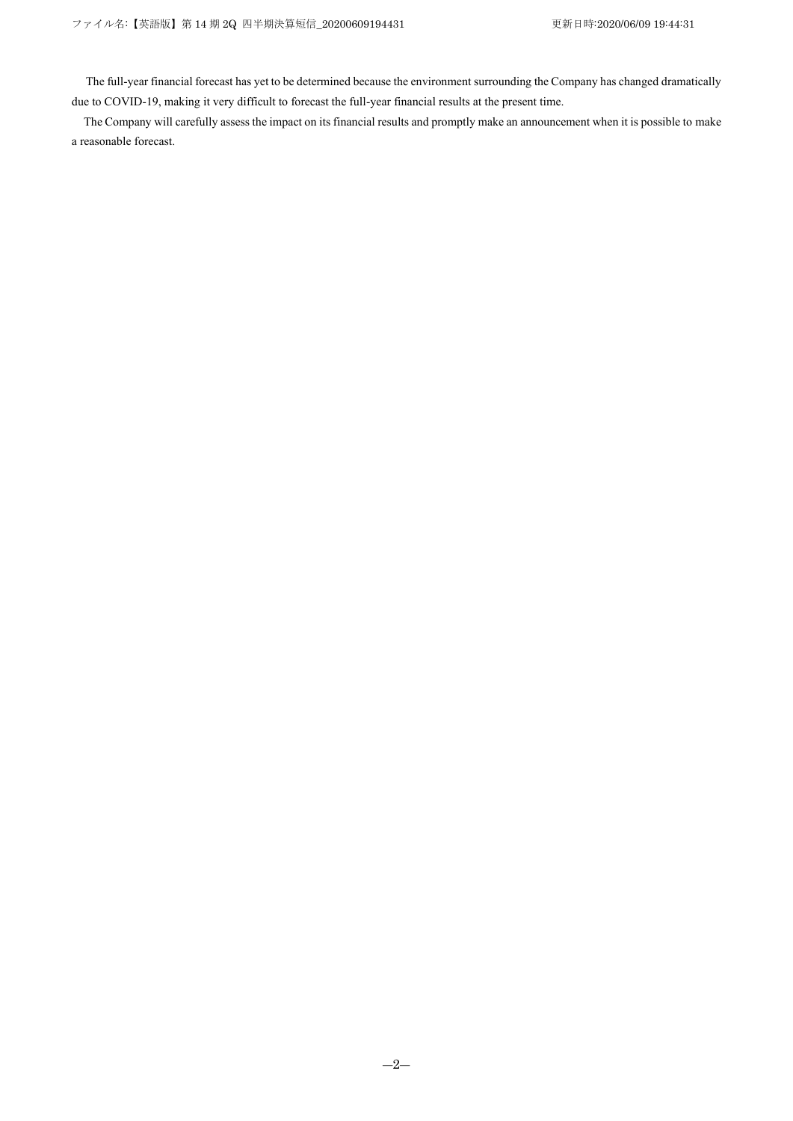The full-year financial forecast has yet to be determined because the environment surrounding the Company has changed dramatically due to COVID-19, making it very difficult to forecast the full-year financial results at the present time.

The Company will carefully assess the impact on its financial results and promptly make an announcement when it is possible to make a reasonable forecast.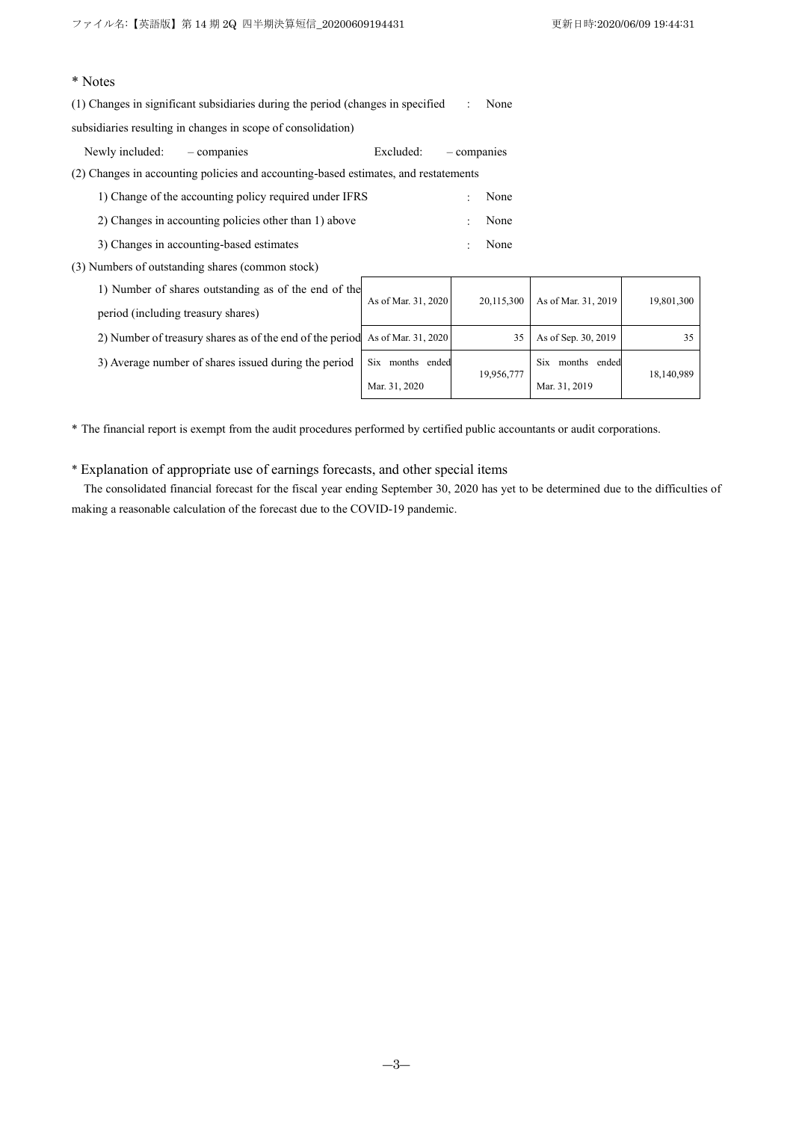18,140,989

# \* Notes

(1) Changes in significant subsidiaries during the period (changes in specified subsidiaries resulting in changes in scope of consolidation) : None

| Newly included: | - companies                                                                         | Excluded:           | - companies |            |                     |            |
|-----------------|-------------------------------------------------------------------------------------|---------------------|-------------|------------|---------------------|------------|
|                 | (2) Changes in accounting policies and accounting-based estimates, and restatements |                     |             |            |                     |            |
|                 | 1) Change of the accounting policy required under IFRS                              |                     |             | None       |                     |            |
|                 | 2) Changes in accounting policies other than 1) above                               |                     |             | None       |                     |            |
|                 | 3) Changes in accounting-based estimates                                            |                     |             | None       |                     |            |
|                 | (3) Numbers of outstanding shares (common stock)                                    |                     |             |            |                     |            |
|                 | 1) Number of shares outstanding as of the end of the                                | As of Mar. 31, 2020 |             | 20,115,300 | As of Mar. 31, 2019 | 19,801,300 |

period (including treasury shares) 2) Number of treasury shares as of the end of the period As of Mar. 31, 2020  $\vert$  35 As of Sep. 30, 2019 35 3) Average number of shares issued during the period  $\vert$  Six months ended Mar. 31, 2020 19,956,777 Six months ended Mar. 31, 2019

\* The financial report is exempt from the audit procedures performed by certified public accountants or audit corporations.

\* Explanation of appropriate use of earnings forecasts, and other special items

The consolidated financial forecast for the fiscal year ending September 30, 2020 has yet to be determined due to the difficulties of making a reasonable calculation of the forecast due to the COVID-19 pandemic.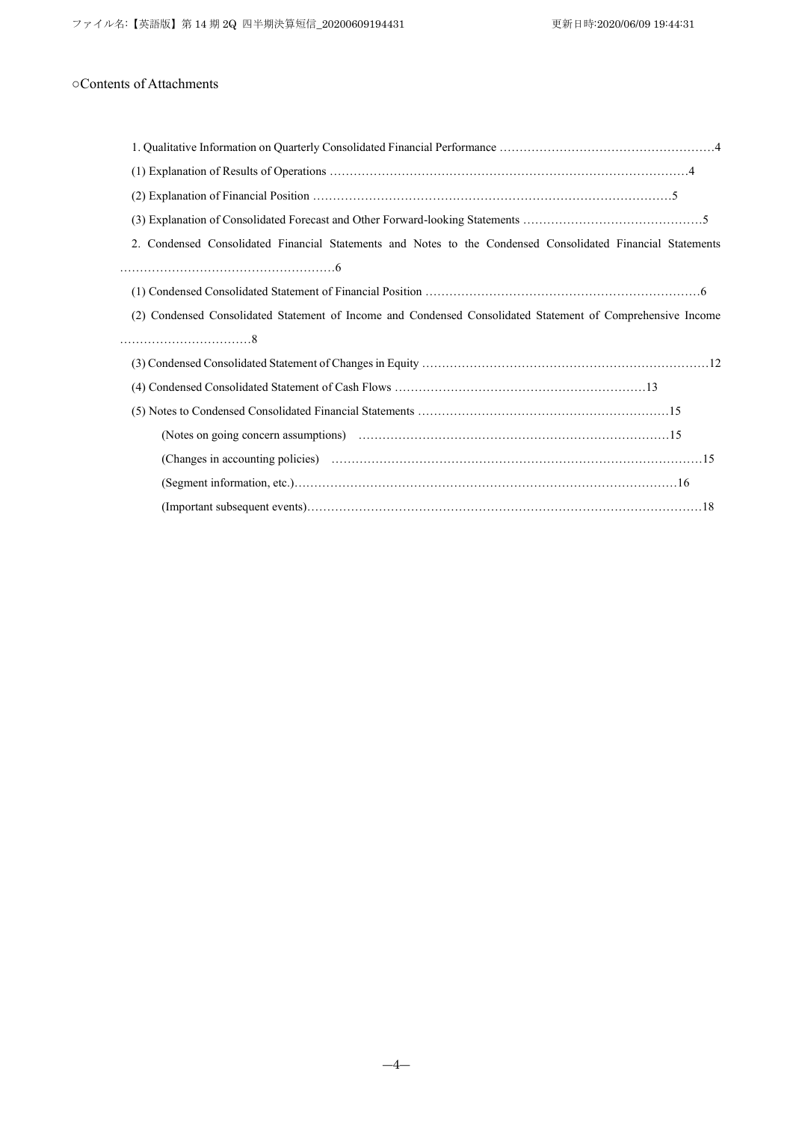# ○Contents of Attachments

| Condensed Consolidated Financial Statements and Notes to the Condensed Consolidated Financial Statements<br>2. |  |
|----------------------------------------------------------------------------------------------------------------|--|
|                                                                                                                |  |
|                                                                                                                |  |
| (2) Condensed Consolidated Statement of Income and Condensed Consolidated Statement of Comprehensive Income    |  |
|                                                                                                                |  |
|                                                                                                                |  |
|                                                                                                                |  |
|                                                                                                                |  |
|                                                                                                                |  |
|                                                                                                                |  |
|                                                                                                                |  |
|                                                                                                                |  |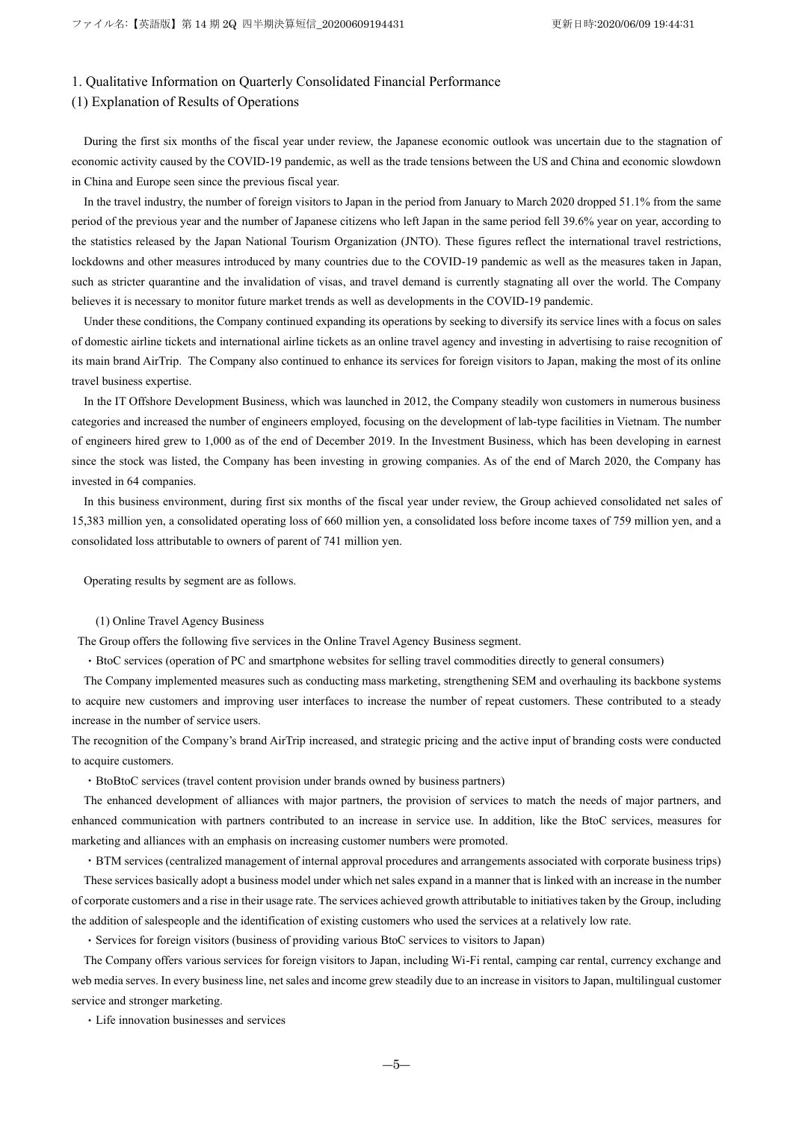### 1. Qualitative Information on Quarterly Consolidated Financial Performance

### (1) Explanation of Results of Operations

During the first six months of the fiscal year under review, the Japanese economic outlook was uncertain due to the stagnation of economic activity caused by the COVID-19 pandemic, as well as the trade tensions between the US and China and economic slowdown in China and Europe seen since the previous fiscal year.

In the travel industry, the number of foreign visitors to Japan in the period from January to March 2020 dropped 51.1% from the same period of the previous year and the number of Japanese citizens who left Japan in the same period fell 39.6% year on year, according to the statistics released by the Japan National Tourism Organization (JNTO). These figures reflect the international travel restrictions, lockdowns and other measures introduced by many countries due to the COVID-19 pandemic as well as the measures taken in Japan, such as stricter quarantine and the invalidation of visas, and travel demand is currently stagnating all over the world. The Company believes it is necessary to monitor future market trends as well as developments in the COVID-19 pandemic.

Under these conditions, the Company continued expanding its operations by seeking to diversify its service lines with a focus on sales of domestic airline tickets and international airline tickets as an online travel agency and investing in advertising to raise recognition of its main brand AirTrip. The Company also continued to enhance its services for foreign visitors to Japan, making the most of its online travel business expertise.

In the IT Offshore Development Business, which was launched in 2012, the Company steadily won customers in numerous business categories and increased the number of engineers employed, focusing on the development of lab-type facilities in Vietnam. The number of engineers hired grew to 1,000 as of the end of December 2019. In the Investment Business, which has been developing in earnest since the stock was listed, the Company has been investing in growing companies. As of the end of March 2020, the Company has invested in 64 companies.

In this business environment, during first six months of the fiscal year under review, the Group achieved consolidated net sales of 15,383 million yen, a consolidated operating loss of 660 million yen, a consolidated loss before income taxes of 759 million yen, and a consolidated loss attributable to owners of parent of 741 million yen.

Operating results by segment are as follows.

### (1) Online Travel Agency Business

The Group offers the following five services in the Online Travel Agency Business segment.

・BtoC services (operation of PC and smartphone websites for selling travel commodities directly to general consumers)

The Company implemented measures such as conducting mass marketing, strengthening SEM and overhauling its backbone systems to acquire new customers and improving user interfaces to increase the number of repeat customers. These contributed to a steady increase in the number of service users.

The recognition of the Company's brand AirTrip increased, and strategic pricing and the active input of branding costs were conducted to acquire customers.

・BtoBtoC services (travel content provision under brands owned by business partners)

The enhanced development of alliances with major partners, the provision of services to match the needs of major partners, and enhanced communication with partners contributed to an increase in service use. In addition, like the BtoC services, measures for marketing and alliances with an emphasis on increasing customer numbers were promoted.

・BTM services (centralized management of internal approval procedures and arrangements associated with corporate business trips) These services basically adopt a business model under which net sales expand in a manner that is linked with an increase in the number of corporate customers and a rise in their usage rate. The services achieved growth attributable to initiatives taken by the Group, including the addition of salespeople and the identification of existing customers who used the services at a relatively low rate.

・Services for foreign visitors (business of providing various BtoC services to visitors to Japan)

The Company offers various services for foreign visitors to Japan, including Wi-Fi rental, camping car rental, currency exchange and web media serves. In every business line, net sales and income grew steadily due to an increase in visitors to Japan, multilingual customer service and stronger marketing.

・Life innovation businesses and services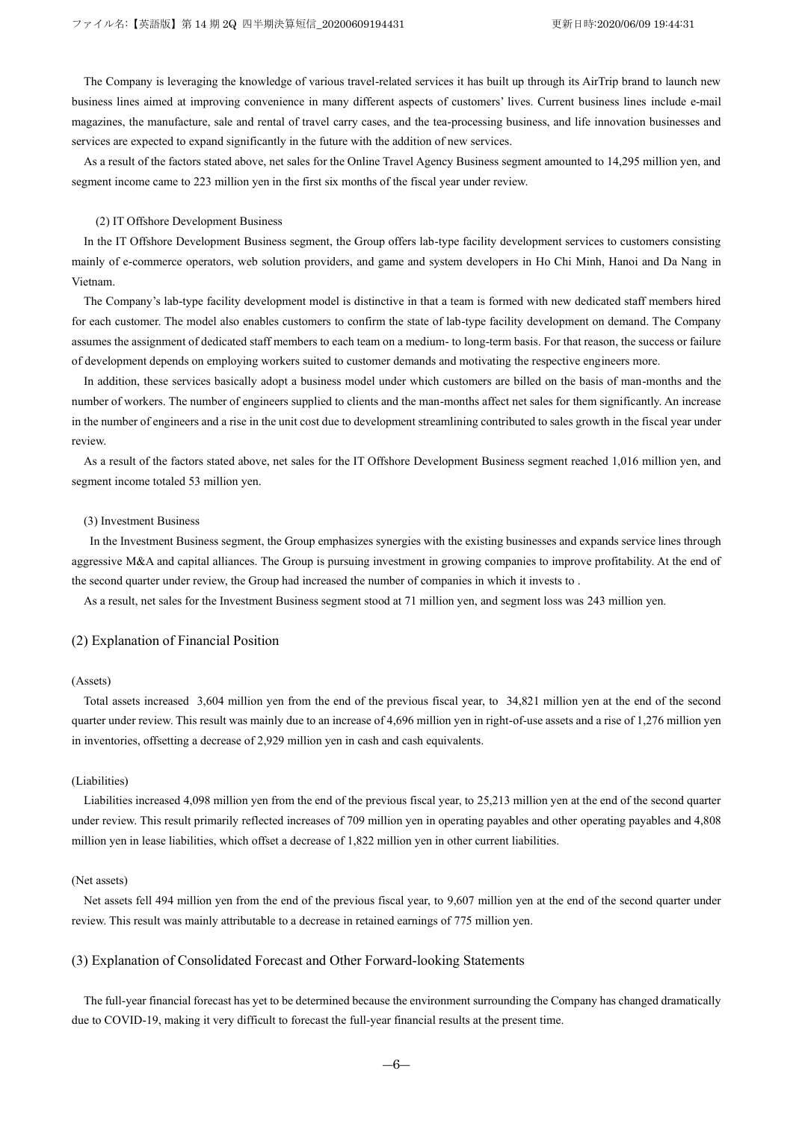The Company is leveraging the knowledge of various travel-related services it has built up through its AirTrip brand to launch new business lines aimed at improving convenience in many different aspects of customers' lives. Current business lines include e-mail magazines, the manufacture, sale and rental of travel carry cases, and the tea-processing business, and life innovation businesses and services are expected to expand significantly in the future with the addition of new services.

As a result of the factors stated above, net sales for the Online Travel Agency Business segment amounted to 14,295 million yen, and segment income came to 223 million yen in the first six months of the fiscal year under review.

#### (2) IT Offshore Development Business

In the IT Offshore Development Business segment, the Group offers lab-type facility development services to customers consisting mainly of e-commerce operators, web solution providers, and game and system developers in Ho Chi Minh, Hanoi and Da Nang in Vietnam.

The Company's lab-type facility development model is distinctive in that a team is formed with new dedicated staff members hired for each customer. The model also enables customers to confirm the state of lab-type facility development on demand. The Company assumes the assignment of dedicated staff members to each team on a medium- to long-term basis. For that reason, the success or failure of development depends on employing workers suited to customer demands and motivating the respective engineers more.

In addition, these services basically adopt a business model under which customers are billed on the basis of man-months and the number of workers. The number of engineers supplied to clients and the man-months affect net sales for them significantly. An increase in the number of engineers and a rise in the unit cost due to development streamlining contributed to sales growth in the fiscal year under review.

As a result of the factors stated above, net sales for the IT Offshore Development Business segment reached 1,016 million yen, and segment income totaled 53 million yen.

#### (3) Investment Business

In the Investment Business segment, the Group emphasizes synergies with the existing businesses and expands service lines through aggressive M&A and capital alliances. The Group is pursuing investment in growing companies to improve profitability. At the end of the second quarter under review, the Group had increased the number of companies in which it invests to .

As a result, net sales for the Investment Business segment stood at 71 million yen, and segment loss was 243 million yen.

#### (2) Explanation of Financial Position

### (Assets)

Total assets increased 3,604 million yen from the end of the previous fiscal year, to 34,821 million yen at the end of the second quarter under review. This result was mainly due to an increase of 4,696 million yen in right-of-use assets and a rise of 1,276 million yen in inventories, offsetting a decrease of 2,929 million yen in cash and cash equivalents.

### (Liabilities)

Liabilities increased 4,098 million yen from the end of the previous fiscal year, to 25,213 million yen at the end of the second quarter under review. This result primarily reflected increases of 709 million yen in operating payables and other operating payables and 4,808 million yen in lease liabilities, which offset a decrease of 1,822 million yen in other current liabilities.

#### (Net assets)

Net assets fell 494 million yen from the end of the previous fiscal year, to 9,607 million yen at the end of the second quarter under review. This result was mainly attributable to a decrease in retained earnings of 775 million yen.

### (3) Explanation of Consolidated Forecast and Other Forward-looking Statements

The full-year financial forecast has yet to be determined because the environment surrounding the Company has changed dramatically due to COVID-19, making it very difficult to forecast the full-year financial results at the present time.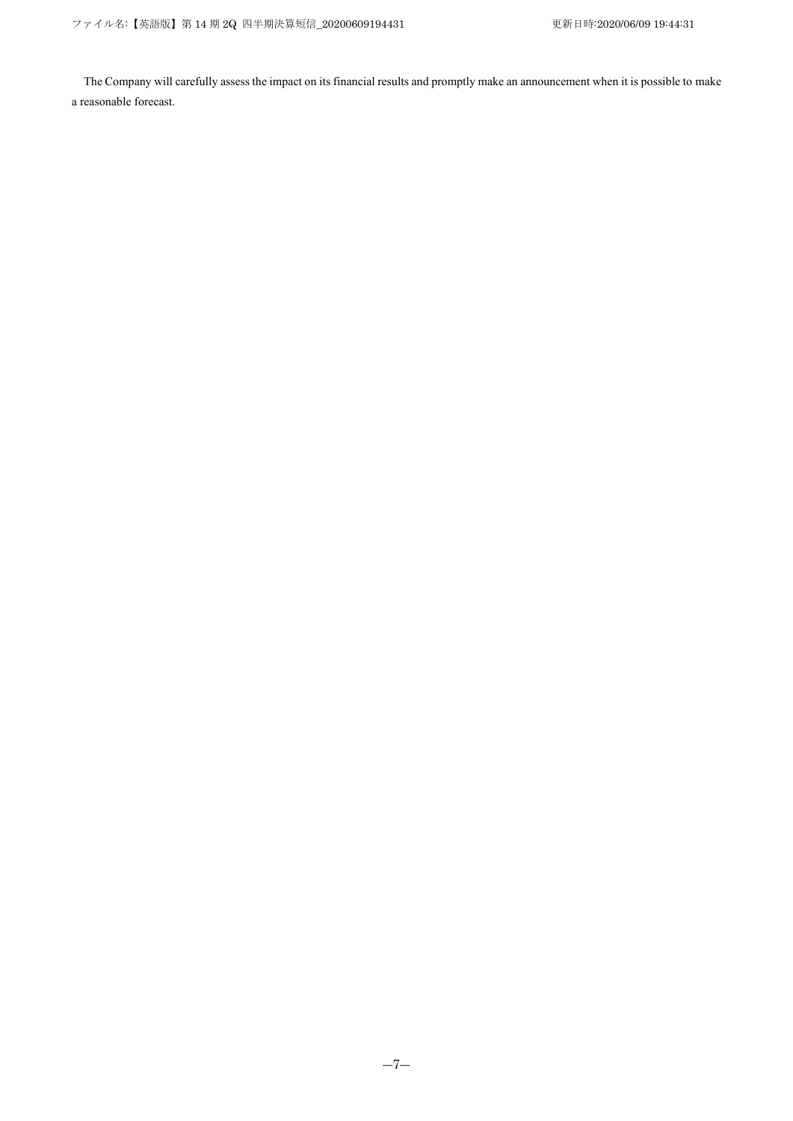The Company will carefully assess the impact on its financial results and promptly make an announcement when it is possible to make a reasonable forecast.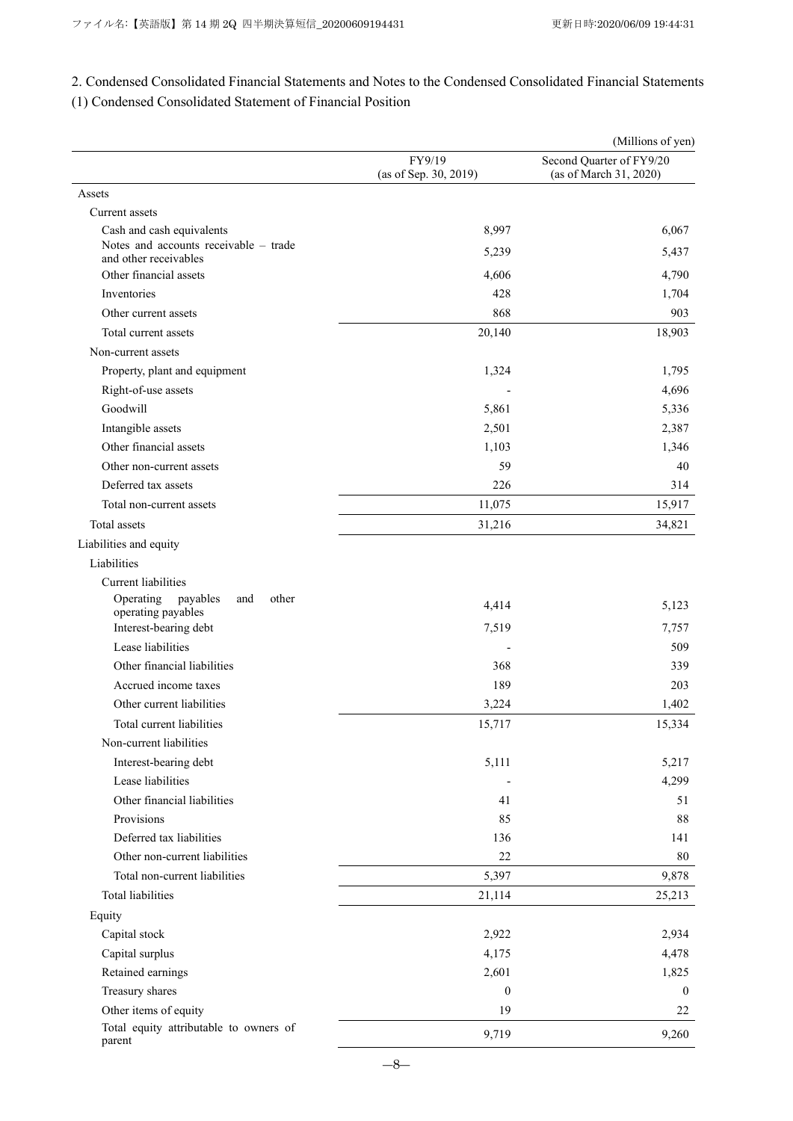2. Condensed Consolidated Financial Statements and Notes to the Condensed Consolidated Financial Statements (1) Condensed Consolidated Statement of Financial Position

|                                                             |                                 | (Millions of yen)                                  |
|-------------------------------------------------------------|---------------------------------|----------------------------------------------------|
|                                                             | FY9/19<br>(as of Sep. 30, 2019) | Second Quarter of FY9/20<br>(as of March 31, 2020) |
| Assets                                                      |                                 |                                                    |
| Current assets                                              |                                 |                                                    |
| Cash and cash equivalents                                   | 8,997                           | 6,067                                              |
| Notes and accounts receivable - trade                       | 5,239                           | 5,437                                              |
| and other receivables<br>Other financial assets             | 4,606                           | 4,790                                              |
| Inventories                                                 | 428                             | 1,704                                              |
| Other current assets                                        | 868                             | 903                                                |
|                                                             |                                 |                                                    |
| Total current assets                                        | 20,140                          | 18,903                                             |
| Non-current assets                                          |                                 |                                                    |
| Property, plant and equipment                               | 1,324                           | 1,795                                              |
| Right-of-use assets                                         |                                 | 4,696                                              |
| Goodwill                                                    | 5,861                           | 5,336                                              |
| Intangible assets                                           | 2,501                           | 2,387                                              |
| Other financial assets                                      | 1,103                           | 1,346                                              |
| Other non-current assets                                    | 59                              | 40                                                 |
| Deferred tax assets                                         | 226                             | 314                                                |
| Total non-current assets                                    | 11,075                          | 15,917                                             |
| Total assets                                                | 31,216                          | 34,821                                             |
| Liabilities and equity                                      |                                 |                                                    |
| Liabilities                                                 |                                 |                                                    |
| Current liabilities                                         |                                 |                                                    |
| Operating<br>payables<br>other<br>and<br>operating payables | 4,414                           | 5,123                                              |
| Interest-bearing debt                                       | 7,519                           | 7,757                                              |
| Lease liabilities                                           |                                 | 509                                                |
| Other financial liabilities                                 | 368                             | 339                                                |
| Accrued income taxes                                        | 189                             | 203                                                |
| Other current liabilities                                   | 3,224                           | 1,402                                              |
| Total current liabilities                                   | 15,717                          | 15,334                                             |
| Non-current liabilities                                     |                                 |                                                    |
| Interest-bearing debt                                       | 5,111                           | 5,217                                              |
| Lease liabilities                                           |                                 | 4,299                                              |
| Other financial liabilities                                 | 41                              | 51                                                 |
| Provisions                                                  | 85                              | $88\,$                                             |
| Deferred tax liabilities                                    | 136                             | 141                                                |
| Other non-current liabilities                               | 22                              | 80                                                 |
| Total non-current liabilities                               | 5,397                           | 9,878                                              |
| Total liabilities                                           | 21,114                          | 25,213                                             |
| Equity                                                      |                                 |                                                    |
| Capital stock                                               | 2,922                           | 2,934                                              |
| Capital surplus                                             | 4,175                           | 4,478                                              |
| Retained earnings                                           | 2,601                           | 1,825                                              |
| Treasury shares                                             | $\boldsymbol{0}$                | $\bf{0}$                                           |
| Other items of equity                                       | 19                              | 22                                                 |
| Total equity attributable to owners of                      |                                 |                                                    |
| parent                                                      | 9,719                           | 9,260                                              |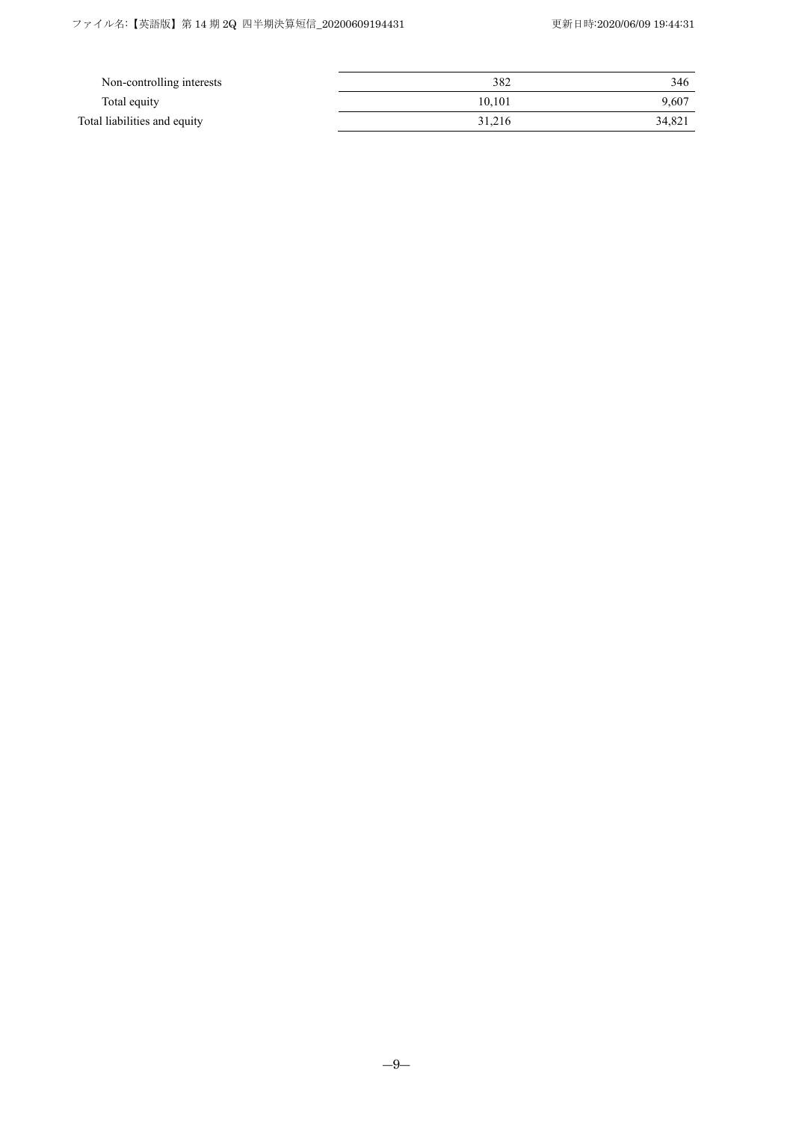| Non-controlling interests    | 382    | 346    |
|------------------------------|--------|--------|
| Total equity                 | 10.101 | 9.607  |
| Total liabilities and equity | 31.216 | 34,821 |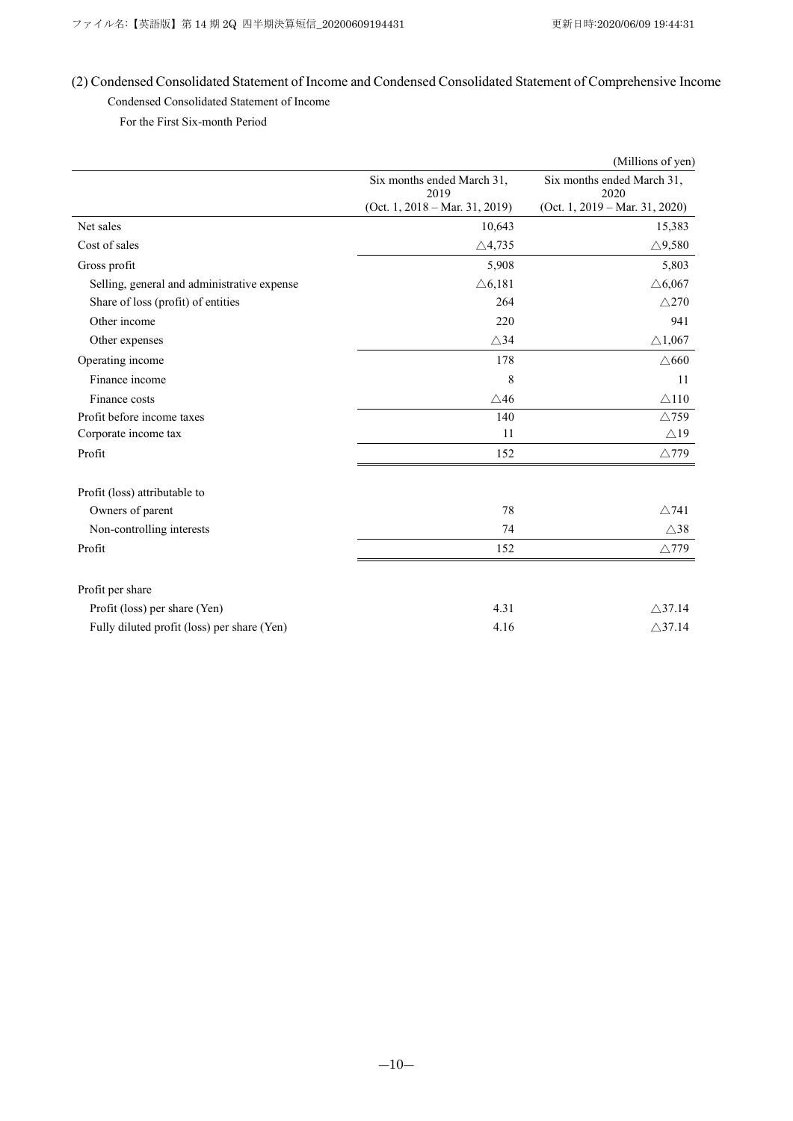# (2) Condensed Consolidated Statement of Income and Condensed Consolidated Statement of Comprehensive Income Condensed Consolidated Statement of Income

For the First Six-month Period

|                                             |                                    | (Millions of yen)                         |
|---------------------------------------------|------------------------------------|-------------------------------------------|
|                                             | Six months ended March 31,<br>2019 | Six months ended March 31,<br>2020        |
|                                             | $(Oct. 1, 2018 - Mar. 31, 2019)$   | (Oct. 1, $2019 - \text{Mar. } 31, 2020$ ) |
| Net sales                                   | 10,643                             | 15,383                                    |
| Cost of sales                               | $\triangle$ 4,735                  | $\triangle$ 9.580                         |
| Gross profit                                | 5,908                              | 5,803                                     |
| Selling, general and administrative expense | $\triangle 6,181$                  | $\triangle 6,067$                         |
| Share of loss (profit) of entities          | 264                                | $\triangle$ 270                           |
| Other income                                | 220                                | 941                                       |
| Other expenses                              | $\triangle$ 34                     | $\triangle$ 1,067                         |
| Operating income                            | 178                                | $\triangle$ 660                           |
| Finance income                              | 8                                  | 11                                        |
| Finance costs                               | $\triangle$ 46                     | $\triangle$ 110                           |
| Profit before income taxes                  | 140                                | $\triangle$ 759                           |
| Corporate income tax                        | 11                                 | $\triangle$ 19                            |
| Profit                                      | 152                                | $\triangle$ 779                           |
| Profit (loss) attributable to               |                                    |                                           |
| Owners of parent                            | 78                                 | $\wedge$ 741                              |
| Non-controlling interests                   | 74                                 | $\triangle$ 38                            |
| Profit                                      | 152                                | $\triangle$ 779                           |
| Profit per share                            |                                    |                                           |
| Profit (loss) per share (Yen)               | 4.31                               | $\triangle$ 37.14                         |
| Fully diluted profit (loss) per share (Yen) | 4.16                               | $\triangle$ 37.14                         |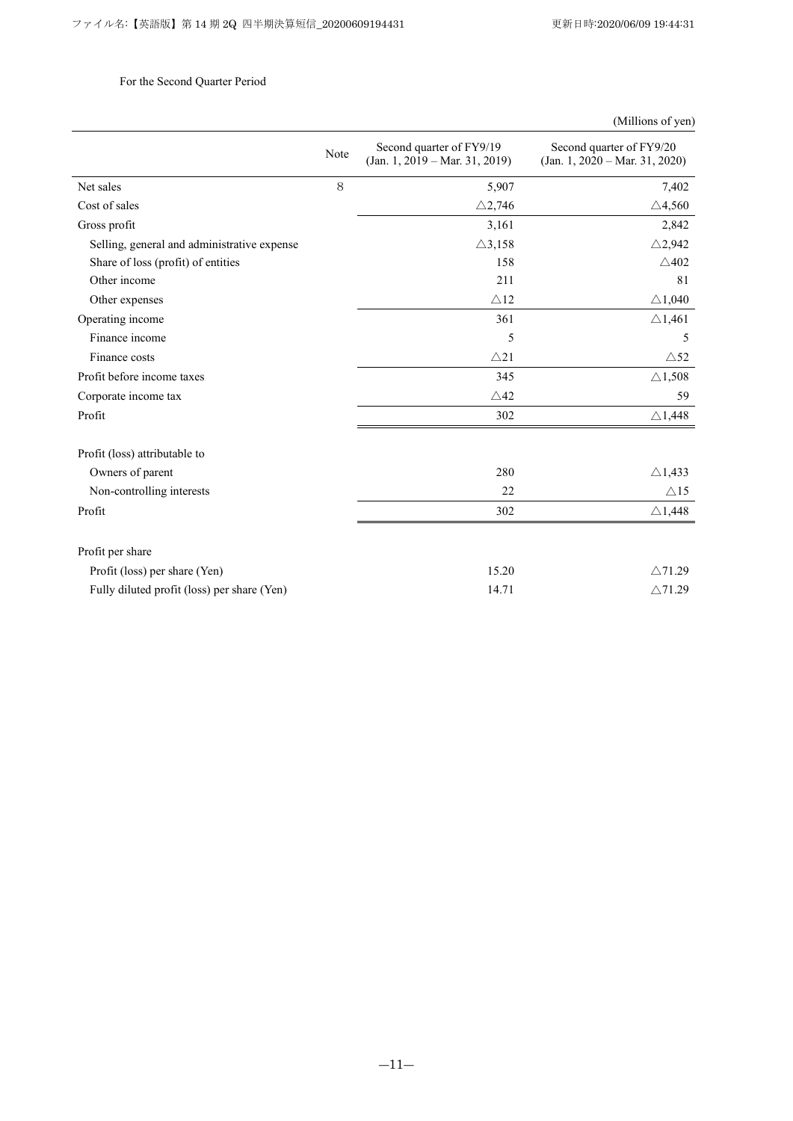# For the Second Quarter Period

|                                             | Note | Second quarter of FY9/19<br>$(Jan. 1, 2019 - Mar. 31, 2019)$ | Second quarter of FY9/20<br>$(Jan. 1, 2020 - Mar. 31, 2020)$ |
|---------------------------------------------|------|--------------------------------------------------------------|--------------------------------------------------------------|
| Net sales                                   | 8    | 5,907                                                        | 7,402                                                        |
| Cost of sales                               |      | $\triangle$ 2,746                                            | $\triangle$ 4,560                                            |
| Gross profit                                |      | 3,161                                                        | 2,842                                                        |
| Selling, general and administrative expense |      | $\triangle$ 3,158                                            | $\triangle$ 2,942                                            |
| Share of loss (profit) of entities          |      | 158                                                          | $\triangle$ 402                                              |
| Other income                                |      | 211                                                          | 81                                                           |
| Other expenses                              |      | $\triangle$ 12                                               | $\triangle$ 1,040                                            |
| Operating income                            |      | 361                                                          | $\triangle$ 1,461                                            |
| Finance income                              |      | 5                                                            | 5                                                            |
| Finance costs                               |      | $\triangle$ 21                                               | $\triangle$ 52                                               |
| Profit before income taxes                  |      | 345                                                          | $\triangle$ 1,508                                            |
| Corporate income tax                        |      | $\triangle$ 42                                               | 59                                                           |
| Profit                                      |      | 302                                                          | $\triangle$ 1,448                                            |
| Profit (loss) attributable to               |      |                                                              |                                                              |
| Owners of parent                            |      | 280                                                          | $\triangle$ 1,433                                            |
| Non-controlling interests                   |      | 22                                                           | $\triangle$ 15                                               |
| Profit                                      |      | 302                                                          | $\triangle$ 1,448                                            |
| Profit per share                            |      |                                                              |                                                              |
| Profit (loss) per share (Yen)               |      | 15.20                                                        | $\wedge$ 71.29                                               |
| Fully diluted profit (loss) per share (Yen) |      | 14.71                                                        | $\triangle$ 71.29                                            |

# (Millions of yen)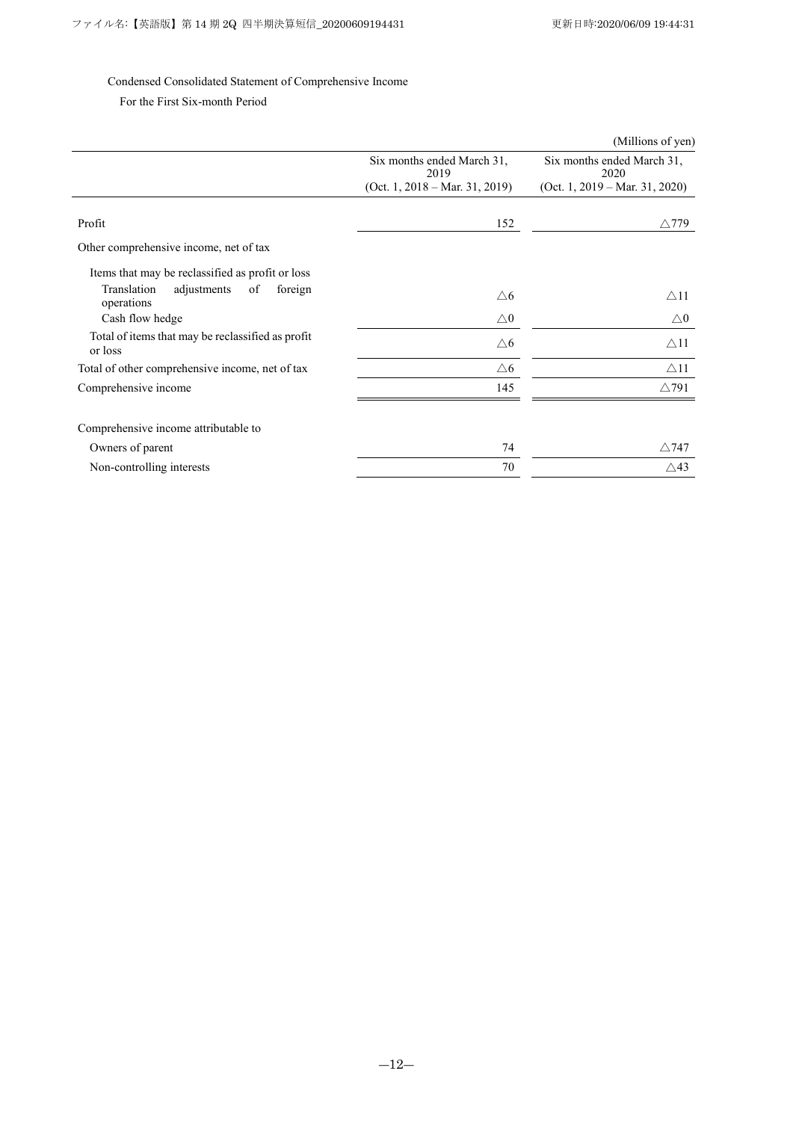### Condensed Consolidated Statement of Comprehensive Income

For the First Six-month Period

|                                                              |                                    | (Millions of yen)                  |
|--------------------------------------------------------------|------------------------------------|------------------------------------|
|                                                              | Six months ended March 31,<br>2019 | Six months ended March 31,<br>2020 |
|                                                              | (Oct. 1, 2018 – Mar. 31, 2019)     | (Oct. 1, 2019 – Mar. 31, 2020)     |
|                                                              |                                    |                                    |
| Profit                                                       | 152                                | $\triangle$ 779                    |
| Other comprehensive income, net of tax                       |                                    |                                    |
| Items that may be reclassified as profit or loss             |                                    |                                    |
| Translation<br>adjustments<br>of<br>foreign<br>operations    | $\triangle 6$                      | $\triangle$ 11                     |
| Cash flow hedge                                              | $\triangle 0$                      | $\triangle 0$                      |
| Total of items that may be reclassified as profit<br>or loss | $\triangle 6$                      | $\triangle$ 11                     |
| Total of other comprehensive income, net of tax              | $\triangle 6$                      | $\triangle$ 11                     |
| Comprehensive income                                         | 145                                | $\triangle$ 791                    |
|                                                              |                                    |                                    |
| Comprehensive income attributable to                         |                                    |                                    |
| Owners of parent                                             | 74                                 | $\triangle$ 747                    |
| Non-controlling interests                                    | 70                                 | $\triangle$ 43                     |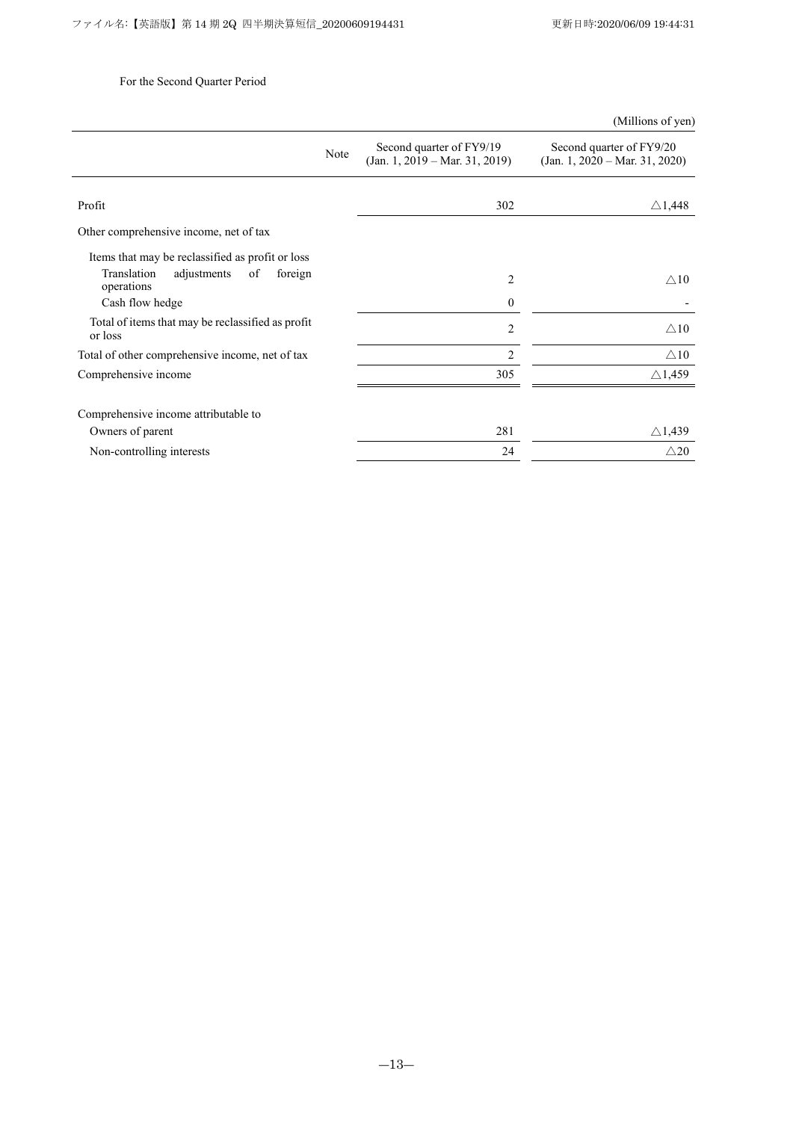# For the Second Quarter Period

|                                                              |      |                                                              | (Millions of yen)                                            |
|--------------------------------------------------------------|------|--------------------------------------------------------------|--------------------------------------------------------------|
|                                                              | Note | Second quarter of FY9/19<br>$(Jan. 1, 2019 - Mar. 31, 2019)$ | Second quarter of FY9/20<br>$(Jan. 1, 2020 - Mar. 31, 2020)$ |
|                                                              |      |                                                              |                                                              |
| Profit                                                       |      | 302                                                          | $\triangle$ 1,448                                            |
| Other comprehensive income, net of tax                       |      |                                                              |                                                              |
| Items that may be reclassified as profit or loss             |      |                                                              |                                                              |
| Translation<br>adjustments<br>foreign<br>of<br>operations    |      | 2                                                            | $\triangle 10$                                               |
| Cash flow hedge                                              |      | $\theta$                                                     |                                                              |
| Total of items that may be reclassified as profit<br>or loss |      | $\overline{2}$                                               | $\wedge$ 10                                                  |
| Total of other comprehensive income, net of tax              |      | $\overline{c}$                                               | $\triangle 10$                                               |
| Comprehensive income                                         |      | 305                                                          | $\triangle$ 1,459                                            |
| Comprehensive income attributable to                         |      |                                                              |                                                              |
| Owners of parent                                             |      | 281                                                          | $\triangle$ 1,439                                            |
| Non-controlling interests                                    |      | 24                                                           | $\triangle 20$                                               |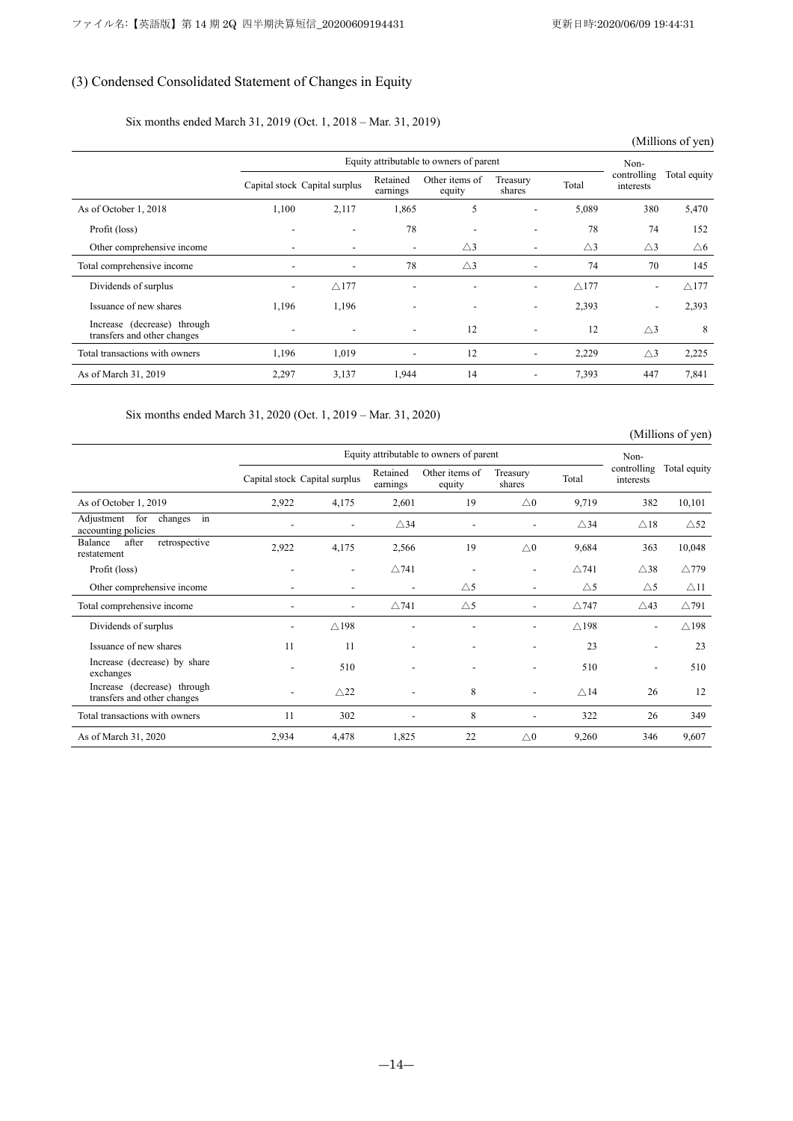# (3) Condensed Consolidated Statement of Changes in Equity

### Six months ended March 31, 2019 (Oct. 1, 2018 – Mar. 31, 2019)

|                                                            |       |                               |                          |                          |                          |                 |                          | (Millions of yen) |
|------------------------------------------------------------|-------|-------------------------------|--------------------------|--------------------------|--------------------------|-----------------|--------------------------|-------------------|
|                                                            |       | Non-                          |                          |                          |                          |                 |                          |                   |
|                                                            |       | Capital stock Capital surplus | Retained<br>earnings     | Other items of<br>equity | Treasury<br>shares       | Total           | controlling<br>interests | Total equity      |
| As of October 1, 2018                                      | 1,100 | 2,117                         | 1,865                    | 5                        | -                        | 5,089           | 380                      | 5,470             |
| Profit (loss)                                              |       | $\overline{\phantom{a}}$      | 78                       | $\overline{\phantom{a}}$ | $\overline{\phantom{a}}$ | 78              | 74                       | 152               |
| Other comprehensive income                                 |       | $\overline{\phantom{a}}$      | $\overline{\phantom{a}}$ | $\triangle$ 3            | $\overline{\phantom{0}}$ | $\triangle$ 3   | $\triangle$ 3            | $\triangle 6$     |
| Total comprehensive income                                 |       | $\overline{\phantom{a}}$      | 78                       | $\triangle$ 3            | $\overline{\phantom{a}}$ | 74              | 70                       | 145               |
| Dividends of surplus                                       |       | $\triangle$ 177               | $\overline{\phantom{0}}$ |                          | $\overline{\phantom{a}}$ | $\triangle$ 177 | $\overline{\phantom{a}}$ | $\triangle$ 177   |
| Issuance of new shares                                     | 1,196 | 1,196                         |                          |                          | $\overline{\phantom{0}}$ | 2,393           | $\overline{\phantom{a}}$ | 2,393             |
| Increase (decrease) through<br>transfers and other changes |       |                               | $\overline{\phantom{a}}$ | 12                       | $\overline{\phantom{a}}$ | 12              | $\triangle$ 3            | 8                 |
| Total transactions with owners                             | 1,196 | 1,019                         | $\overline{\phantom{a}}$ | 12                       | $\overline{\phantom{0}}$ | 2,229           | $\triangle$ 3            | 2,225             |
| As of March 31, 2019                                       | 2,297 | 3,137                         | 1,944                    | 14                       |                          | 7,393           | 447                      | 7,841             |

Six months ended March 31, 2020 (Oct. 1, 2019 – Mar. 31, 2020)

(Millions of yen)

|                                                            |                          | Equity attributable to owners of parent |                          |                              |                          |                 |                                  |                 |  |  |
|------------------------------------------------------------|--------------------------|-----------------------------------------|--------------------------|------------------------------|--------------------------|-----------------|----------------------------------|-----------------|--|--|
|                                                            |                          | Capital stock Capital surplus           | Retained<br>earnings     | Other items of<br>equity     | Treasury<br>shares       | Total           | Non-<br>controlling<br>interests | Total equity    |  |  |
| As of October 1, 2019                                      | 2,922                    | 4,175                                   | 2,601                    | 19                           | $\triangle 0$            | 9,719           | 382                              | 10,101          |  |  |
| Adjustment for<br>changes in<br>accounting policies        |                          | $\overline{\phantom{a}}$                | $\triangle$ 34           | $\qquad \qquad \blacksquare$ |                          | $\triangle$ 34  | $\triangle$ 18                   | $\triangle$ 52  |  |  |
| after<br>Balance<br>retrospective<br>restatement           | 2,922                    | 4,175                                   | 2,566                    | 19                           | $\triangle 0$            | 9,684           | 363                              | 10,048          |  |  |
| Profit (loss)                                              | $\overline{\phantom{a}}$ | $\overline{\phantom{a}}$                | $\triangle$ 741          | ٠                            | $\overline{\phantom{a}}$ | $\triangle$ 741 | $\triangle$ 38                   | $\triangle$ 779 |  |  |
| Other comprehensive income                                 |                          |                                         | $\overline{\phantom{a}}$ | $\triangle$ 5                | $\overline{\phantom{a}}$ | $\triangle$ 5   | $\triangle$ 5                    | $\triangle$ 11  |  |  |
| Total comprehensive income                                 |                          | $\overline{\phantom{a}}$                | $\triangle$ 741          | $\triangle$ 5                | $\overline{\phantom{a}}$ | $\triangle$ 747 | $\triangle$ 43                   | $\triangle$ 791 |  |  |
| Dividends of surplus                                       |                          | $\triangle$ 198                         |                          |                              |                          | $\triangle$ 198 | $\overline{\phantom{a}}$         | $\triangle$ 198 |  |  |
| Issuance of new shares                                     | 11                       | 11                                      | $\overline{\phantom{a}}$ | ٠                            | $\overline{\phantom{a}}$ | 23              | $\overline{\phantom{a}}$         | 23              |  |  |
| Increase (decrease) by share<br>exchanges                  |                          | 510                                     |                          |                              |                          | 510             | $\overline{\phantom{a}}$         | 510             |  |  |
| Increase (decrease) through<br>transfers and other changes |                          | $\triangle$ 22                          | $\overline{\phantom{a}}$ | 8                            |                          | $\triangle$ 14  | 26                               | 12              |  |  |
| Total transactions with owners                             | 11                       | 302                                     |                          | 8                            | $\overline{\phantom{a}}$ | 322             | 26                               | 349             |  |  |
| As of March 31, 2020                                       | 2,934                    | 4,478                                   | 1,825                    | 22                           | $\triangle 0$            | 9,260           | 346                              | 9,607           |  |  |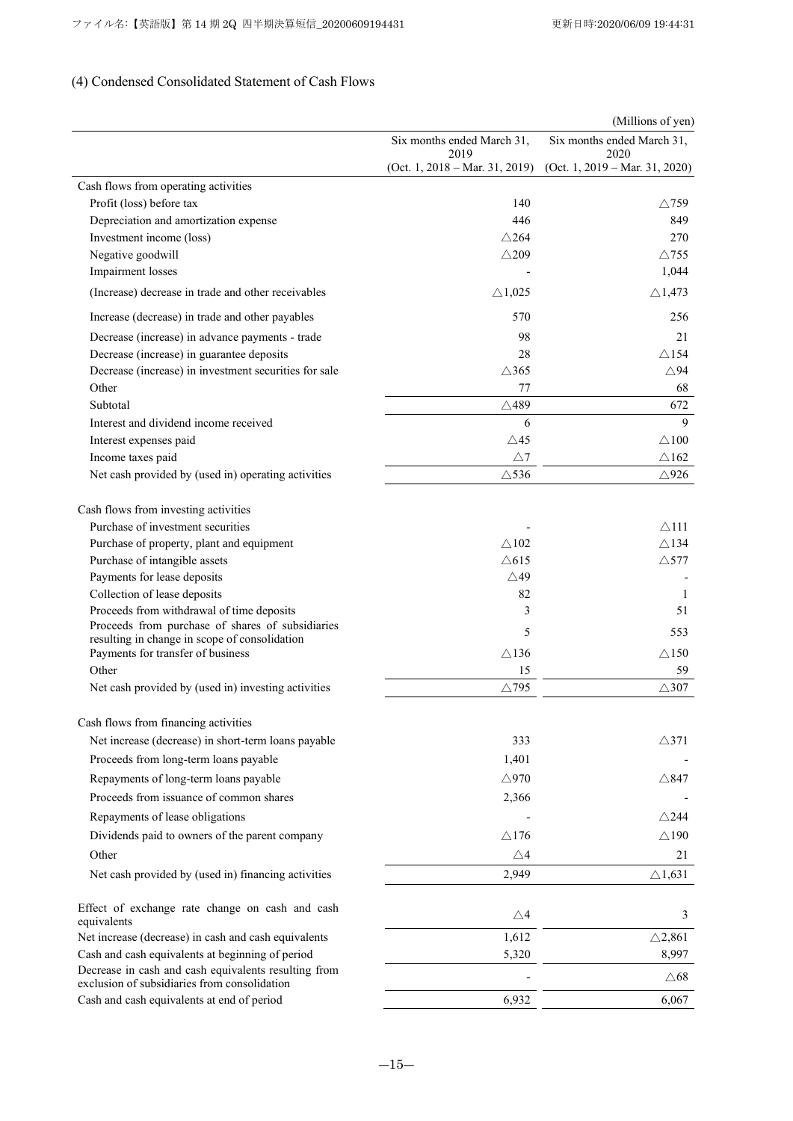# (4) Condensed Consolidated Statement of Cash Flows

|                                                                                                      |                                           | (Millions of yen)                  |
|------------------------------------------------------------------------------------------------------|-------------------------------------------|------------------------------------|
|                                                                                                      | Six months ended March 31,<br>2019        | Six months ended March 31,<br>2020 |
|                                                                                                      | (Oct. 1, $2018 - \text{Mar. } 31, 2019$ ) | (Oct. 1, 2019 – Mar. 31, 2020)     |
| Cash flows from operating activities                                                                 |                                           |                                    |
| Profit (loss) before tax                                                                             | 140                                       | $\triangle$ 759                    |
| Depreciation and amortization expense                                                                | 446                                       | 849                                |
| Investment income (loss)                                                                             | $\triangle$ 264                           | 270                                |
| Negative goodwill                                                                                    | $\wedge$ 209                              | $\triangle$ 755                    |
| Impairment losses                                                                                    |                                           | 1,044                              |
| (Increase) decrease in trade and other receivables                                                   | $\triangle$ 1,025                         | $\triangle$ 1,473                  |
| Increase (decrease) in trade and other payables                                                      | 570                                       | 256                                |
| Decrease (increase) in advance payments - trade                                                      | 98                                        | 21                                 |
| Decrease (increase) in guarantee deposits                                                            | 28                                        | $\triangle$ 154                    |
| Decrease (increase) in investment securities for sale                                                | $\triangle$ 365                           | $\triangle$ 94                     |
| Other                                                                                                | 77                                        | 68                                 |
| Subtotal                                                                                             | $\triangle$ 489                           | 672                                |
| Interest and dividend income received                                                                | 6                                         | 9                                  |
| Interest expenses paid                                                                               | $\triangle$ 45                            | $\triangle$ 100                    |
| Income taxes paid                                                                                    | $\triangle$ 7                             | $\wedge$ 162                       |
| Net cash provided by (used in) operating activities                                                  | $\triangle$ 536                           | $\triangle$ 926                    |
|                                                                                                      |                                           |                                    |
| Cash flows from investing activities                                                                 |                                           |                                    |
| Purchase of investment securities                                                                    |                                           | $\triangle$ 111                    |
| Purchase of property, plant and equipment                                                            | $\wedge$ 102                              | $\triangle$ 134                    |
| Purchase of intangible assets                                                                        | $\triangle$ 615                           | $\triangle$ 577                    |
| Payments for lease deposits                                                                          | $\triangle$ 49                            |                                    |
| Collection of lease deposits                                                                         | 82                                        | 1                                  |
| Proceeds from withdrawal of time deposits                                                            | 3                                         | 51                                 |
| Proceeds from purchase of shares of subsidiaries                                                     | 5                                         | 553                                |
| resulting in change in scope of consolidation<br>Payments for transfer of business                   | $\triangle$ 136                           | $\triangle 150$                    |
| Other                                                                                                | 15                                        | 59                                 |
| Net cash provided by (used in) investing activities                                                  | $\triangle$ 795                           | $\triangle$ 307                    |
|                                                                                                      |                                           |                                    |
| Cash flows from financing activities                                                                 |                                           |                                    |
| Net increase (decrease) in short-term loans payable                                                  | 333                                       | $\triangle$ 371                    |
| Proceeds from long-term loans payable                                                                | 1,401                                     |                                    |
| Repayments of long-term loans payable                                                                | $\triangle$ 970                           | $\triangle$ 847                    |
| Proceeds from issuance of common shares                                                              | 2,366                                     |                                    |
| Repayments of lease obligations                                                                      |                                           | $\triangle$ 244                    |
| Dividends paid to owners of the parent company                                                       | $\triangle$ 176                           | $\triangle$ 190                    |
| Other                                                                                                | $\triangle 4$                             | 21                                 |
| Net cash provided by (used in) financing activities                                                  | 2,949                                     | $\triangle$ 1,631                  |
|                                                                                                      |                                           |                                    |
| Effect of exchange rate change on cash and cash                                                      | $\triangle 4$                             | 3                                  |
| equivalents                                                                                          |                                           |                                    |
| Net increase (decrease) in cash and cash equivalents                                                 | 1,612                                     | $\triangle$ 2,861                  |
| Cash and cash equivalents at beginning of period                                                     | 5,320                                     | 8,997                              |
| Decrease in cash and cash equivalents resulting from<br>exclusion of subsidiaries from consolidation |                                           | $\triangle 68$                     |
| Cash and cash equivalents at end of period                                                           | 6,932                                     | 6,067                              |
|                                                                                                      |                                           |                                    |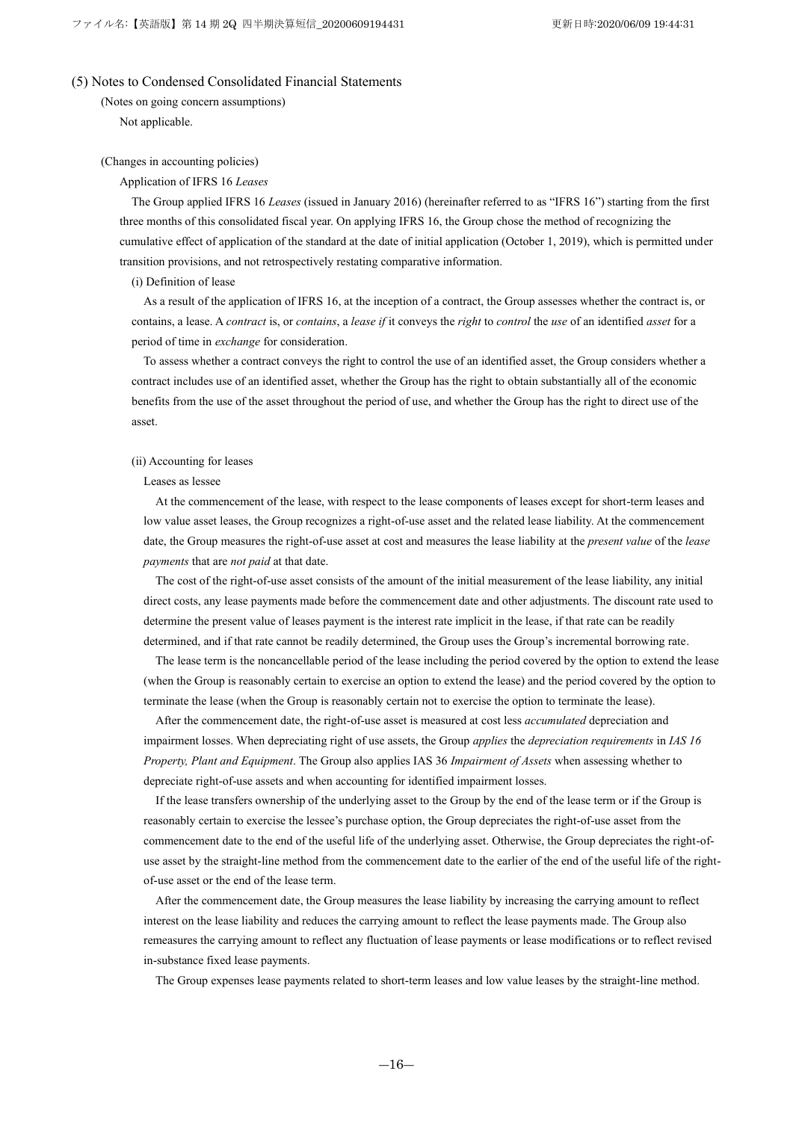### (5) Notes to Condensed Consolidated Financial Statements

(Notes on going concern assumptions) Not applicable.

### (Changes in accounting policies)

### Application of IFRS 16 *Leases*

The Group applied IFRS 16 *Leases* (issued in January 2016) (hereinafter referred to as "IFRS 16") starting from the first three months of this consolidated fiscal year. On applying IFRS 16, the Group chose the method of recognizing the cumulative effect of application of the standard at the date of initial application (October 1, 2019), which is permitted under transition provisions, and not retrospectively restating comparative information.

### (i) Definition of lease

As a result of the application of IFRS 16, at the inception of a contract, the Group assesses whether the contract is, or contains, a lease. A *contract* is, or *contains*, a *lease if* it conveys the *right* to *control* the *use* of an identified *asset* for a period of time in *exchange* for consideration.

To assess whether a contract conveys the right to control the use of an identified asset, the Group considers whether a contract includes use of an identified asset, whether the Group has the right to obtain substantially all of the economic benefits from the use of the asset throughout the period of use, and whether the Group has the right to direct use of the asset.

#### (ii) Accounting for leases

#### Leases as lessee

At the commencement of the lease, with respect to the lease components of leases except for short-term leases and low value asset leases, the Group recognizes a right-of-use asset and the related lease liability. At the commencement date, the Group measures the right-of-use asset at cost and measures the lease liability at the *present value* of the *lease payments* that are *not paid* at that date.

The cost of the right-of-use asset consists of the amount of the initial measurement of the lease liability, any initial direct costs, any lease payments made before the commencement date and other adjustments. The discount rate used to determine the present value of leases payment is the interest rate implicit in the lease, if that rate can be readily determined, and if that rate cannot be readily determined, the Group uses the Group's incremental borrowing rate.

The lease term is the noncancellable period of the lease including the period covered by the option to extend the lease (when the Group is reasonably certain to exercise an option to extend the lease) and the period covered by the option to terminate the lease (when the Group is reasonably certain not to exercise the option to terminate the lease).

After the commencement date, the right-of-use asset is measured at cost less *accumulated* depreciation and impairment losses. When depreciating right of use assets, the Group *applies* the *depreciation requirements* in *IAS 16 Property, Plant and Equipment*. The Group also applies IAS 36 *Impairment of Assets* when assessing whether to depreciate right-of-use assets and when accounting for identified impairment losses.

If the lease transfers ownership of the underlying asset to the Group by the end of the lease term or if the Group is reasonably certain to exercise the lessee's purchase option, the Group depreciates the right-of-use asset from the commencement date to the end of the useful life of the underlying asset. Otherwise, the Group depreciates the right-ofuse asset by the straight-line method from the commencement date to the earlier of the end of the useful life of the rightof-use asset or the end of the lease term.

After the commencement date, the Group measures the lease liability by increasing the carrying amount to reflect interest on the lease liability and reduces the carrying amount to reflect the lease payments made. The Group also remeasures the carrying amount to reflect any fluctuation of lease payments or lease modifications or to reflect revised in-substance fixed lease payments.

The Group expenses lease payments related to short-term leases and low value leases by the straight-line method.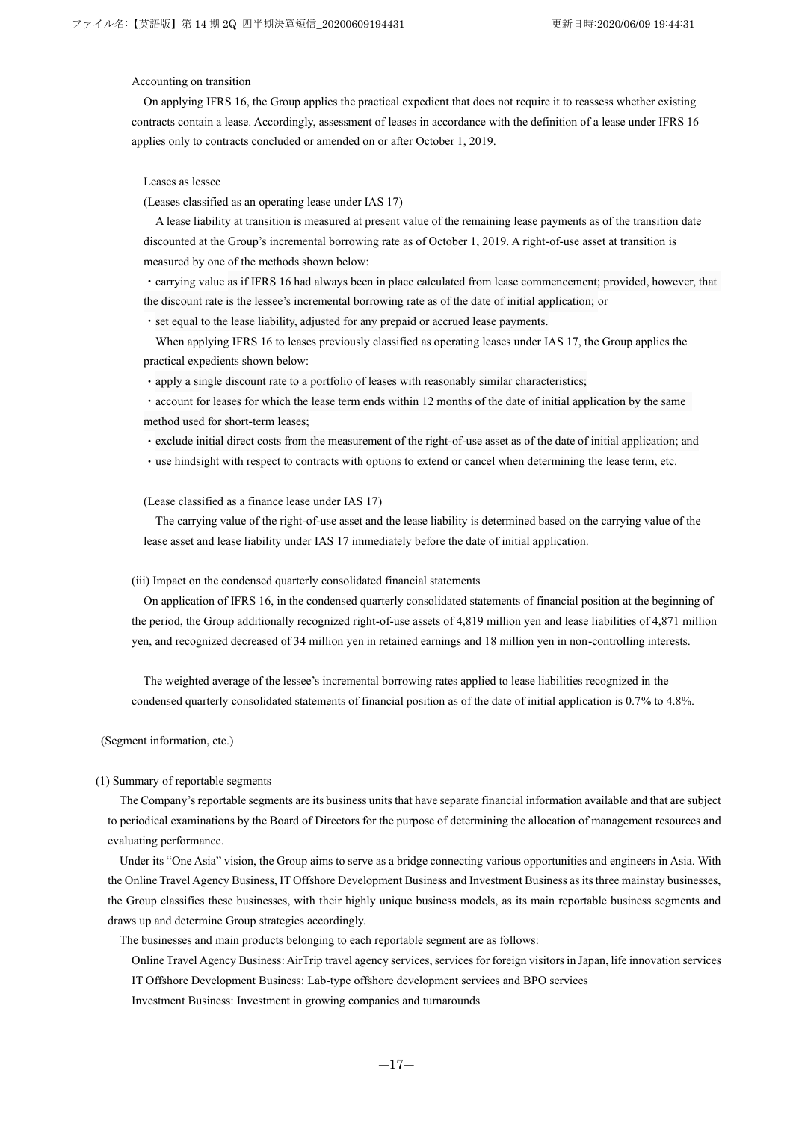### Accounting on transition

On applying IFRS 16, the Group applies the practical expedient that does not require it to reassess whether existing contracts contain a lease. Accordingly, assessment of leases in accordance with the definition of a lease under IFRS 16 applies only to contracts concluded or amended on or after October 1, 2019.

#### Leases as lessee

(Leases classified as an operating lease under IAS 17)

A lease liability at transition is measured at present value of the remaining lease payments as of the transition date discounted at the Group's incremental borrowing rate as of October 1, 2019. A right-of-use asset at transition is measured by one of the methods shown below:

・carrying value as if IFRS 16 had always been in place calculated from lease commencement; provided, however, that the discount rate is the lessee's incremental borrowing rate as of the date of initial application; or

・set equal to the lease liability, adjusted for any prepaid or accrued lease payments.

When applying IFRS 16 to leases previously classified as operating leases under IAS 17, the Group applies the practical expedients shown below:

・apply a single discount rate to a portfolio of leases with reasonably similar characteristics;

・account for leases for which the lease term ends within 12 months of the date of initial application by the same method used for short-term leases;

・exclude initial direct costs from the measurement of the right-of-use asset as of the date of initial application; and

・use hindsight with respect to contracts with options to extend or cancel when determining the lease term, etc.

(Lease classified as a finance lease under IAS 17)

The carrying value of the right-of-use asset and the lease liability is determined based on the carrying value of the lease asset and lease liability under IAS 17 immediately before the date of initial application.

### (iii) Impact on the condensed quarterly consolidated financial statements

On application of IFRS 16, in the condensed quarterly consolidated statements of financial position at the beginning of the period, the Group additionally recognized right-of-use assets of 4,819 million yen and lease liabilities of 4,871 million yen, and recognized decreased of 34 million yen in retained earnings and 18 million yen in non-controlling interests.

The weighted average of the lessee's incremental borrowing rates applied to lease liabilities recognized in the condensed quarterly consolidated statements of financial position as of the date of initial application is 0.7% to 4.8%.

(Segment information, etc.)

#### (1) Summary of reportable segments

The Company's reportable segments are its business units that have separate financial information available and that are subject to periodical examinations by the Board of Directors for the purpose of determining the allocation of management resources and evaluating performance.

Under its "One Asia" vision, the Group aims to serve as a bridge connecting various opportunities and engineers in Asia. With the Online Travel Agency Business, IT Offshore Development Business and Investment Business as its three mainstay businesses, the Group classifies these businesses, with their highly unique business models, as its main reportable business segments and draws up and determine Group strategies accordingly.

The businesses and main products belonging to each reportable segment are as follows:

Online Travel Agency Business: AirTrip travel agency services, services for foreign visitorsin Japan, life innovation services IT Offshore Development Business: Lab-type offshore development services and BPO services

Investment Business: Investment in growing companies and turnarounds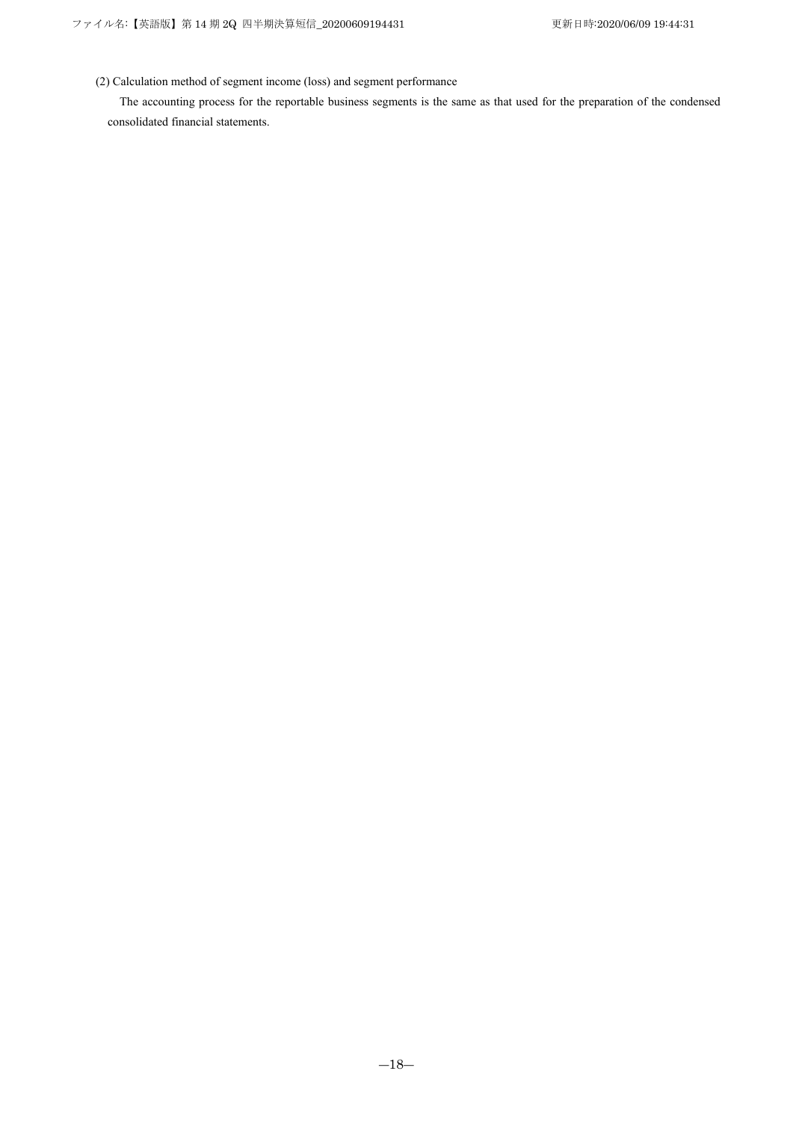(2) Calculation method of segment income (loss) and segment performance

The accounting process for the reportable business segments is the same as that used for the preparation of the condensed consolidated financial statements.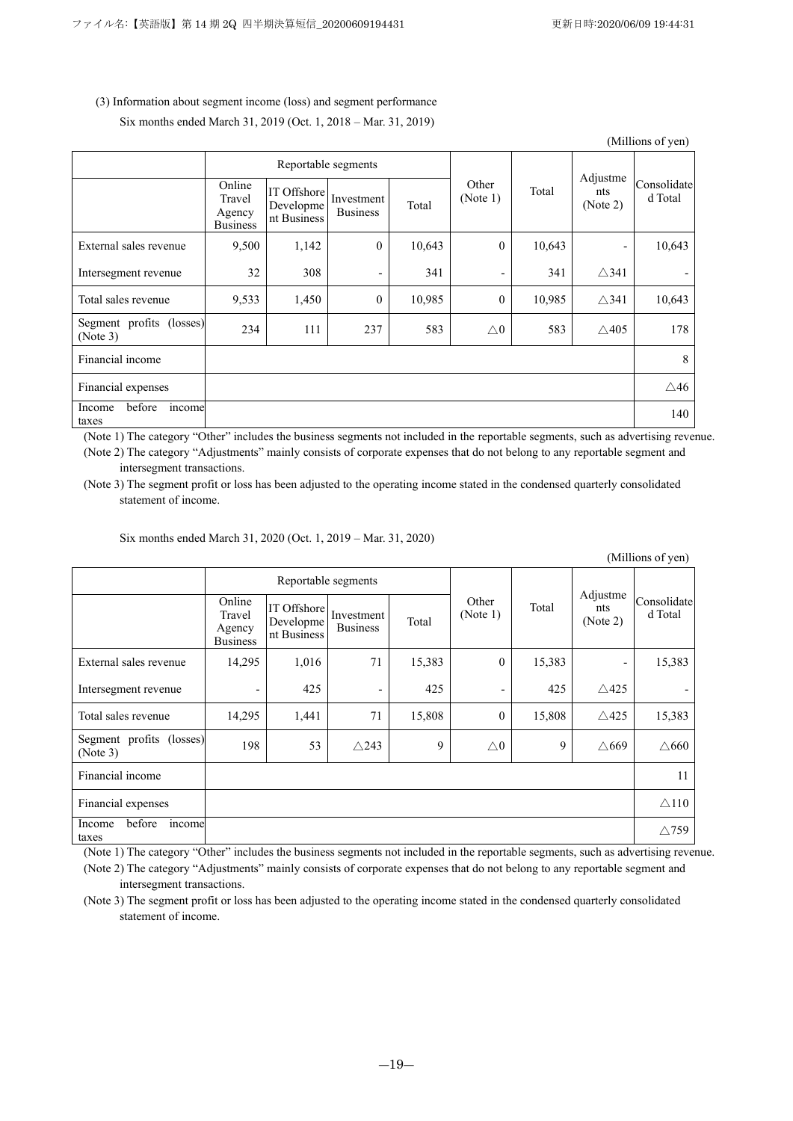| (Millions of yen)                    |                                               |                                         |                               |        |                          |        |                             |                        |  |
|--------------------------------------|-----------------------------------------------|-----------------------------------------|-------------------------------|--------|--------------------------|--------|-----------------------------|------------------------|--|
|                                      |                                               | Reportable segments                     |                               |        |                          |        |                             |                        |  |
|                                      | Online<br>Travel<br>Agency<br><b>Business</b> | IT Offshore<br>Developme<br>nt Business | Investment<br><b>Business</b> | Total  | Other<br>(Note 1)        | Total  | Adjustme<br>nts<br>(Note 2) | Consolidate<br>d Total |  |
| External sales revenue               | 9,500                                         | 1,142                                   | $\theta$                      | 10,643 | $\mathbf{0}$             | 10,643 |                             | 10,643                 |  |
| Intersegment revenue                 | 32                                            | 308                                     | $\overline{\phantom{a}}$      | 341    | $\overline{\phantom{a}}$ | 341    | $\triangle$ 341             |                        |  |
| Total sales revenue                  | 9,533                                         | 1,450                                   | $\mathbf{0}$                  | 10,985 | $\boldsymbol{0}$         | 10,985 | $\triangle$ 341             | 10,643                 |  |
| Segment profits (losses)<br>(Note 3) | 234                                           | 111                                     | 237                           | 583    | $\triangle 0$            | 583    | $\triangle$ 405             | 178                    |  |
| Financial income                     |                                               |                                         |                               |        |                          |        |                             | 8                      |  |
| Financial expenses                   |                                               |                                         |                               |        |                          |        |                             | $\triangle$ 46         |  |
| before<br>Income<br>income<br>taxes  |                                               |                                         |                               |        |                          |        |                             | 140                    |  |

# (3) Information about segment income (loss) and segment performance

Six months ended March 31, 2019 (Oct. 1, 2018 – Mar. 31, 2019)

(Note 1) The category "Other" includes the business segments not included in the reportable segments, such as advertising revenue. (Note 2) The category "Adjustments" mainly consists of corporate expenses that do not belong to any reportable segment and intersegment transactions.

(Note 3) The segment profit or loss has been adjusted to the operating income stated in the condensed quarterly consolidated statement of income.

Six months ended March 31, 2020 (Oct. 1, 2019 – Mar. 31, 2020)

|                                      | (Millions of yen)                             |                                         |                               |        |                   |        |                             |                        |  |  |
|--------------------------------------|-----------------------------------------------|-----------------------------------------|-------------------------------|--------|-------------------|--------|-----------------------------|------------------------|--|--|
|                                      |                                               | Reportable segments                     |                               |        |                   |        |                             |                        |  |  |
|                                      | Online<br>Travel<br>Agency<br><b>Business</b> | IT Offshore<br>Developme<br>nt Business | Investment<br><b>Business</b> | Total  | Other<br>(Note 1) | Total  | Adjustme<br>nts<br>(Note 2) | Consolidate<br>d Total |  |  |
| External sales revenue               | 14,295                                        | 1,016                                   | 71                            | 15,383 | $\mathbf{0}$      | 15,383 | $\overline{\phantom{a}}$    | 15,383                 |  |  |
| Intersegment revenue                 | -                                             | 425                                     | $\overline{\phantom{a}}$      | 425    | -                 | 425    | $\triangle$ 425             |                        |  |  |
| Total sales revenue                  | 14,295                                        | 1,441                                   | 71                            | 15,808 | $\mathbf{0}$      | 15,808 | $\triangle$ 425             | 15,383                 |  |  |
| Segment profits (losses)<br>(Note 3) | 198                                           | 53                                      | $\triangle$ 243               | 9      | $\triangle 0$     | 9      | $\triangle$ 669             | $\triangle$ 660        |  |  |
| Financial income                     |                                               |                                         |                               |        |                   |        |                             | 11                     |  |  |
| Financial expenses                   |                                               |                                         |                               |        |                   |        |                             | $\triangle$ 110        |  |  |
| before<br>Income<br>income<br>taxes  |                                               |                                         |                               |        |                   |        |                             | $\triangle$ 759        |  |  |

(Note 1) The category "Other" includes the business segments not included in the reportable segments, such as advertising revenue.

(Note 2) The category "Adjustments" mainly consists of corporate expenses that do not belong to any reportable segment and intersegment transactions.

(Note 3) The segment profit or loss has been adjusted to the operating income stated in the condensed quarterly consolidated statement of income.